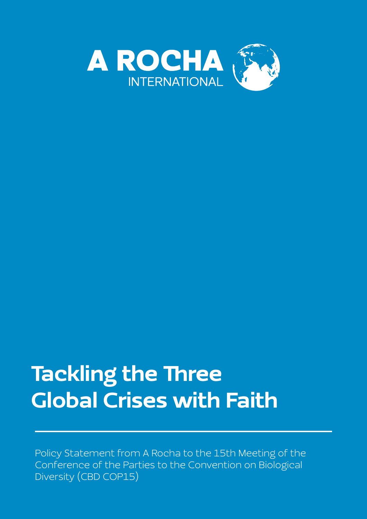

# Tackling the Three Global Crises with Faith

Policy Statement from A Rocha to the 15th Meeting of the Conference of the Parties to the Convention on Biological Diversity (CBD COP15)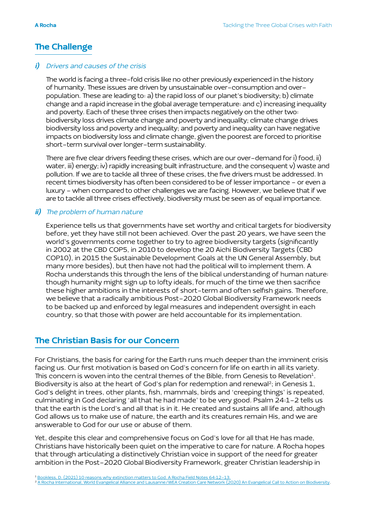## The Challenge

## i) Drivers and causes of the crisis

 The world is facing a three-fold crisis like no other previously experienced in the history of humanity. These issues are driven by unsustainable over-consumption and overpopulation. These are leading to: a) the rapid loss of our planet's biodiversity; b) climate change and a rapid increase in the global average temperature: and c) increasing inequality and poverty. Each of these three crises then impacts negatively on the other two: biodiversity loss drives climate change and poverty and inequality; climate change drives biodiversity loss and poverty and inequality; and poverty and inequality can have negative impacts on biodiversity loss and climate change, given the poorest are forced to prioritise short-term survival over longer-term sustainability.

 There are five clear drivers feeding these crises, which are our over-demand for i) food, ii) water, iii) energy; iv) rapidly increasing built infrastructure, and the consequent v) waste and pollution. If we are to tackle all three of these crises, the five drivers must be addressed. In recent times biodiversity has often been considered to be of lesser importance - or even a luxury - when compared to other challenges we are facing. However, we believe that if we are to tackle all three crises effectively, biodiversity must be seen as of equal importance.

## ii) The problem of human nature

 Experience tells us that governments have set worthy and critical targets for biodiversity before, yet they have still not been achieved. Over the past 20 years, we have seen the world's governments come together to try to agree biodiversity targets (significantly in 2002 at the CBD COP5, in 2010 to develop the 20 Aichi Biodiversity Targets (CBD COP10), in 2015 the Sustainable Development Goals at the UN General Assembly, but many more besides), but then have not had the political will to implement them. A Rocha understands this through the lens of the biblical understanding of human nature: though humanity might sign up to lofty ideals, for much of the time we then sacrifice these higher ambitions in the interests of short-term and often selfish gains. Therefore, we believe that a radically ambitious Post-2020 Global Biodiversity Framework needs to be backed up and enforced by legal measures and independent oversight in each country, so that those with power are held accountable for its implementation.

## The Christian Basis for our Concern

For Christians, the basis for caring for the Earth runs much deeper than the imminent crisis facing us. Our first motivation is based on God's concern for life on earth in all its variety. This concern is woven into the central themes of the Bible, from Genesis to Revelation<sup>1</sup>. Biodiversity is also at the heart of God's plan for redemption and renewal<sup>2</sup>; in Genesis 1, God's delight in trees, other plants, fish, mammals, birds and 'creeping things' is repeated, culminating in God declaring 'all that he had made' to be very good. Psalm 24:1-2 tells us that the earth is the Lord's and all that is in it. He created and sustains all life and, although God allows us to make use of nature, the earth and its creatures remain His, and we are answerable to God for our use or abuse of them.

Yet, despite this clear and comprehensive focus on God's love for all that He has made, Christians have historically been quiet on the imperative to care for nature. A Rocha hopes that through articulating a distinctively Christian voice in support of the need for greater ambition in the Post-2020 Global Biodiversity Framework, greater Christian leadership in

<sup>&</sup>lt;sup>1</sup> [Bookless, D. \(2021\) 10 reasons why extinction matters to God. A Rocha Field Notes 64:12-13.](https://www.arocha.org/wp-content/uploads/2021/03/Field_Notes_issue64_2021_WEB.pdf)

<sup>&</sup>lt;sup>2</sup> [A Rocha International, World Evangelical Alliance and Lausanne/WEA Creation Care Network \(2020\) An Evangelical Call to Action on Biodiversity.](https://www.weacreationcare.org/call-to-action-on-biodiversity)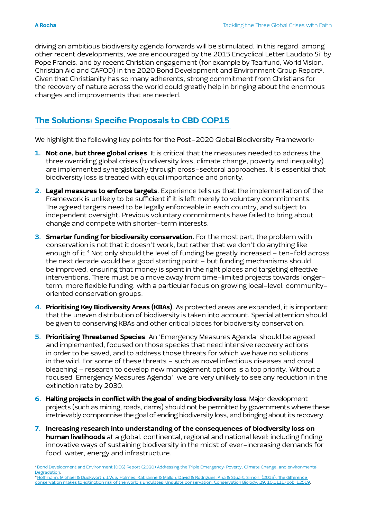driving an ambitious biodiversity agenda forwards will be stimulated. In this regard, among other recent developments, we are encouraged by the 2015 Encyclical Letter Laudato Si' by Pope Francis, and by recent Christian engagement (for example by Tearfund, World Vision, Christian Aid and CAFOD) in the 2020 Bond Development and Environment Group Report3. Given that Christianity has so many adherents, strong commitment from Christians for the recovery of nature across the world could greatly help in bringing about the enormous changes and improvements that are needed.

# The Solutions: Specific Proposals to CBD COP15

We highlight the following key points for the Post-2020 Global Biodiversity Framework:

- 1. Not one, but three global crises. It is critical that the measures needed to address the three overriding global crises (biodiversity loss, climate change, poverty and inequality) are implemented synergistically through cross-sectoral approaches. It is essential that biodiversity loss is treated with equal importance and priority.
- 2. Legal measures to enforce targets. Experience tells us that the implementation of the Framework is unlikely to be sufficient if it is left merely to voluntary commitments. The agreed targets need to be legally enforceable in each country, and subject to independent oversight. Previous voluntary commitments have failed to bring about change and compete with shorter-term interests.
- 3. Smarter funding for biodiversity conservation. For the most part, the problem with conservation is not that it doesn't work, but rather that we don't do anything like enough of it.<sup>4</sup> Not only should the level of funding be greatly increased - ten-fold across the next decade would be a good starting point – but funding mechanisms should be improved, ensuring that money is spent in the right places and targeting effective interventions. There must be a move away from time-limited projects towards longerterm, more flexible funding, with a particular focus on growing local-level, communityoriented conservation groups.
- 4. Prioritising Key Biodiversity Areas (KBAs). As protected areas are expanded, it is important that the uneven distribution of biodiversity is taken into account. Special attention should be given to conserving KBAs and other critical places for biodiversity conservation.
- 5. Prioritising Threatened Species. An 'Emergency Measures Agenda' should be agreed and implemented, focused on those species that need intensive recovery actions in order to be saved, and to address those threats for which we have no solutions in the wild. For some of these threats – such as novel infectious diseases and coral bleaching – research to develop new management options is a top priority. Without a focused 'Emergency Measures Agenda', we are very unlikely to see any reduction in the extinction rate by 2030.
- 6. Halting projects in conflict with the goal of ending biodiversity loss. Major development projects (such as mining, roads, dams) should not be permitted by governments where these irretrievably compromise the goal of ending biodiversity loss, and bringing about its recovery.
- 7. Increasing research into understanding of the consequences of biodiversity loss on human livelihoods at a global, continental, regional and national level; including finding innovative ways of sustaining biodiversity in the midst of ever-increasing demands for food, water, energy and infrastructure.

[conservation makes to extinction risk of the world's ungulates: Ungulate conservation. Conservation Biology. 29. 10.1111/cobi.12519.](https://www.researchgate.net/publication/275527710_The_difference_conservation_makes_to_extinction_risk_of_the_world%27s_ungulates_Ungulate_conservation)

<sup>&</sup>lt;sup>3</sup> Bond Development and Environment (DEG) Report (2020) Addressing the Triple Emergency: Poverty, Climate Change, and environmental [Degradation.](https://www.bond.org.uk/news/2020/06/the-triple-emergency-environmental-degradation-climate-change-and-poverty)4 [Hoffmann, Michael & Duckworth, J.W. & Holmes, Katharine & Mallon, David & Rodrigues, Ana & Stuart, Simon. \(2015\). The difference](https://www.researchgate.net/publication/275527710_The_difference_conservation_makes_to_extinction_risk_of_the_world%27s_ungulates_Ungulate_conservation)